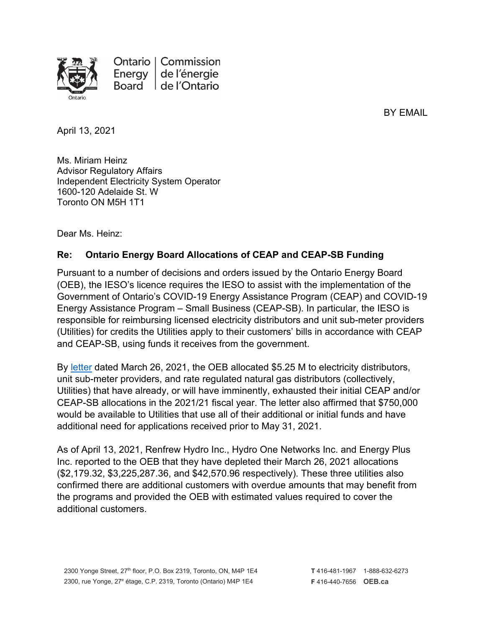

Ontario | Commission de l'énergie Energy Board de l'Ontario

BY EMAIL

April 13, 2021

Ms. Miriam Heinz Advisor Regulatory Affairs Independent Electricity System Operator 1600-120 Adelaide St. W Toronto ON M5H 1T1

Dear Ms. Heinz:

## **Re: Ontario Energy Board Allocations of CEAP and CEAP-SB Funding**

Pursuant to a number of decisions and orders issued by the Ontario Energy Board (OEB), the IESO's licence requires the IESO to assist with the implementation of the Government of Ontario's COVID-19 Energy Assistance Program (CEAP) and COVID-19 Energy Assistance Program – Small Business (CEAP-SB). In particular, the IESO is responsible for reimbursing licensed electricity distributors and unit sub-meter providers (Utilities) for credits the Utilities apply to their customers' bills in accordance with CEAP and CEAP-SB, using funds it receives from the government.

By [letter](https://www.oeb.ca/sites/default/files/OEBltr-CEAP-Addl-Funding-20210326.pdf) dated March 26, 2021, the OEB allocated \$5.25 M to electricity distributors, unit sub-meter providers, and rate regulated natural gas distributors (collectively, Utilities) that have already, or will have imminently, exhausted their initial CEAP and/or CEAP-SB allocations in the 2021/21 fiscal year. The letter also affirmed that \$750,000 would be available to Utilities that use all of their additional or initial funds and have additional need for applications received prior to May 31, 2021.

As of April 13, 2021, Renfrew Hydro Inc., Hydro One Networks Inc. and Energy Plus Inc. reported to the OEB that they have depleted their March 26, 2021 allocations (\$2,179.32, \$3,225,287.36, and \$42,570.96 respectively). These three utilities also confirmed there are additional customers with overdue amounts that may benefit from the programs and provided the OEB with estimated values required to cover the additional customers.